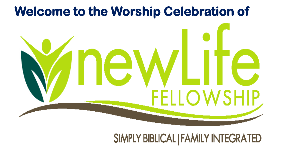# **Welcome to the Worship Celebration of**



# SIMPLY BIBLICAL | FAMILY INTEGRATED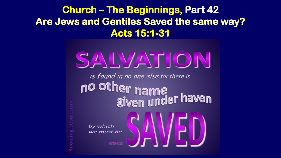**Church – The Beginnings, Part 42 Are Jews and Gentiles Saved the same way? Acts 15:1-31**

# SALVATION

is found in no one else for there is no other name<br>given under haven

by which we must be

**ACTS 4:1**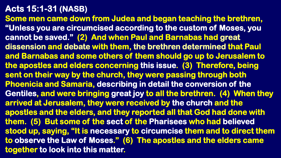**Some men came down from Judea and began teaching the brethren, "Unless you are circumcised according to the custom of Moses, you cannot be saved." (2) And when Paul and Barnabas had great dissension and debate with them, the brethren determined that Paul and Barnabas and some others of them should go up to Jerusalem to the apostles and elders concerning this issue. (3) Therefore, being sent on their way by the church, they were passing through both Phoenicia and Samaria, describing in detail the conversion of the Gentiles, and were bringing great joy to all the brethren. (4) When they arrived at Jerusalem, they were received by the church and the apostles and the elders, and they reported all that God had done with them. (5) But some of the sect of the Pharisees who had believed stood up, saying, "It is necessary to circumcise them and to direct them to observe the Law of Moses." (6) The apostles and the elders came together to look into this matter.**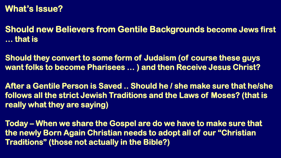#### **What's Issue?**

**Should new Believers from Gentile Backgrounds become Jews first … that is** 

**Should they convert to some form of Judaism (of course these guys want folks to become Pharisees … ) and then Receive Jesus Christ?**

**After a Gentile Person is Saved .. Should he / she make sure that he/she follows all the strict Jewish Traditions and the Laws of Moses? (that is really what they are saying)**

**Today – When we share the Gospel are do we have to make sure that the newly Born Again Christian needs to adopt all of our "Christian Traditions" (those not actually in the Bible?)**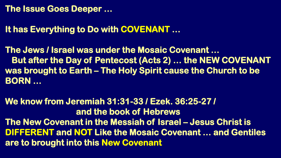#### **The Issue Goes Deeper …**

# **It has Everything to Do with COVENANT …**

**The Jews / Israel was under the Mosaic Covenant … But after the Day of Pentecost (Acts 2) … the NEW COVENANT was brought to Earth – The Holy Spirit cause the Church to be BORN …** 

**We know from Jeremiah 31:31-33 / Ezek. 36:25-27 / and the book of Hebrews The New Covenant in the Messiah of Israel – Jesus Christ is DIFFERENT and NOT Like the Mosaic Covenant … and Gentiles are to brought into this New Covenant**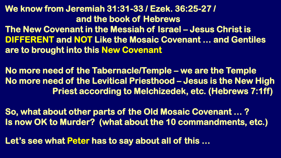# **We know from Jeremiah 31:31-33 / Ezek. 36:25-27 / and the book of Hebrews**

**The New Covenant in the Messiah of Israel – Jesus Christ is DIFFERENT and NOT Like the Mosaic Covenant … and Gentiles are to brought into this New Covenant**

**No more need of the Tabernacle/Temple – we are the Temple No more need of the Levitical Priesthood – Jesus is the New High Priest according to Melchizedek, etc. (Hebrews 7:1ff)**

**So, what about other parts of the Old Mosaic Covenant … ? Is now OK to Murder? (what about the 10 commandments, etc.)**

**Let's see what Peter has to say about all of this …**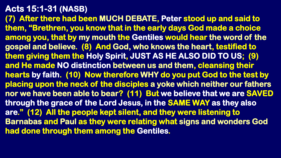**(7) After there had been MUCH DEBATE, Peter stood up and said to them, "Brethren, you know that in the early days God made a choice among you, that by my mouth the Gentiles would hear the word of the gospel and believe. (8) And God, who knows the heart, testified to them giving them the Holy Spirit, JUST AS HE ALSO DID TO US; (9) and He made NO distinction between us and them, cleansing their hearts by faith. (10) Now therefore WHY do you put God to the test by placing upon the neck of the disciples a yoke which neither our fathers nor we have been able to bear? (11) But we believe that we are SAVED through the grace of the Lord Jesus, in the SAME WAY as they also are." (12) All the people kept silent, and they were listening to Barnabas and Paul as they were relating what signs and wonders God had done through them among the Gentiles.**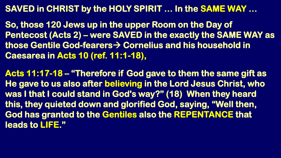## **SAVED in CHRIST by the HOLY SPIRIT … In the SAME WAY …**

**So, those 120 Jews up in the upper Room on the Day of Pentecost (Acts 2) – were SAVED in the exactly the SAME WAY as those Gentile God-fearers Cornelius and his household in Caesarea in Acts 10 (ref. 11:1-18),**

**Acts 11:17-18 – "Therefore if God gave to them the same gift as He gave to us also after believing in the Lord Jesus Christ, who was I that I could stand in God's way?" (18) When they heard this, they quieted down and glorified God, saying, "Well then, God has granted to the Gentiles also the REPENTANCE that leads to LIFE."**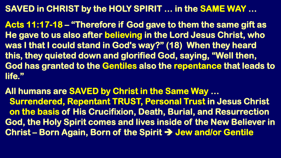# **SAVED in CHRIST by the HOLY SPIRIT … in the SAME WAY …**

**Acts 11:17-18 – "Therefore if God gave to them the same gift as He gave to us also after believing in the Lord Jesus Christ, who was I that I could stand in God's way?" (18) When they heard this, they quieted down and glorified God, saying, "Well then, God has granted to the Gentiles also the repentance that leads to life."** 

**All humans are SAVED by Christ in the Same Way … Surrendered, Repentant TRUST, Personal Trust in Jesus Christ on the basis of His Crucifixion, Death, Burial, and Resurrection God, the Holy Spirit comes and lives inside of the New Believer in Christ – Born Again, Born of the Spirit Jew and/or Gentile**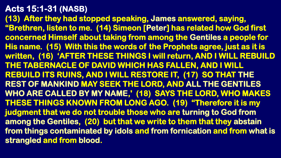**(13) After they had stopped speaking, James answered, saying, "Brethren, listen to me. (14) Simeon [Peter] has related how God first concerned Himself about taking from among the Gentiles a people for His name. (15) With this the words of the Prophets agree, just as it is written, (16) 'AFTER THESE THINGS I will return, AND I WILL REBUILD THE TABERNACLE OF DAVID WHICH HAS FALLEN, AND I WILL REBUILD ITS RUINS, AND I WILL RESTORE IT, (17) SO THAT THE REST OF MANKIND MAY SEEK THE LORD, AND ALL THE GENTILES WHO ARE CALLED BY MY NAME,' (18) SAYS THE LORD, WHO MAKES THESE THINGS KNOWN FROM LONG AGO. (19) "Therefore it is my judgment that we do not trouble those who are turning to God from among the Gentiles, (20) but that we write to them that they abstain from things contaminated by idols and from fornication and from what is strangled and from blood.**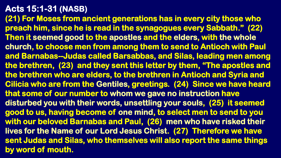**(21) For Moses from ancient generations has in every city those who preach him, since he is read in the synagogues every Sabbath." (22) Then it seemed good to the apostles and the elders, with the whole church, to choose men from among them to send to Antioch with Paul and Barnabas--Judas called Barsabbas, and Silas, leading men among the brethren, (23) and they sent this letter by them, "The apostles and the brethren who are elders, to the brethren in Antioch and Syria and Cilicia who are from the Gentiles, greetings. (24) Since we have heard that some of our number to whom we gave no instruction have disturbed you with their words, unsettling your souls, (25) it seemed good to us, having become of one mind, to select men to send to you with our beloved Barnabas and Paul, (26) men who have risked their lives for the Name of our Lord Jesus Christ. (27) Therefore we have sent Judas and Silas, who themselves will also report the same things by word of mouth.**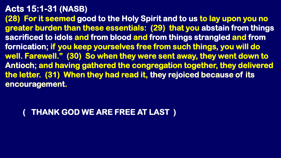**(28) For it seemed good to the Holy Spirit and to us to lay upon you no greater burden than these essentials: (29) that you abstain from things sacrificed to idols and from blood and from things strangled and from fornication; if you keep yourselves free from such things, you will do well. Farewell." (30) So when they were sent away, they went down to Antioch; and having gathered the congregation together, they delivered the letter. (31) When they had read it, they rejoiced because of its encouragement.**

### **( THANK GOD WE ARE FREE AT LAST )**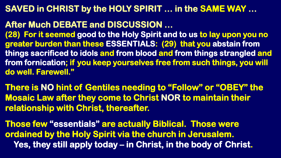#### **SAVED in CHRIST by the HOLY SPIRIT … in the SAME WAY …**

#### **After Much DEBATE and DISCUSSION …**

**(28) For it seemed good to the Holy Spirit and to us to lay upon you no greater burden than these ESSENTIALS: (29) that you abstain from things sacrificed to idols and from blood and from things strangled and from fornication; if you keep yourselves free from such things, you will do well. Farewell."**

**There is NO hint of Gentiles needing to "Follow" or "OBEY" the Mosaic Law after they come to Christ NOR to maintain their relationship with Christ, thereafter.**

**Those few "essentials" are actually Biblical. Those were ordained by the Holy Spirit via the church in Jerusalem. Yes, they still apply today – in Christ, in the body of Christ.**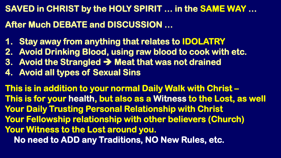**SAVED in CHRIST by the HOLY SPIRIT … in the SAME WAY … After Much DEBATE and DISCUSSION …** 

- **1. Stay away from anything that relates to IDOLATRY**
- **2. Avoid Drinking Blood, using raw blood to cook with etc.**
- **3. Avoid the Strangled**  $\rightarrow$  **Meat that was not drained**
- **4. Avoid all types of Sexual Sins**

**This is in addition to your normal Daily Walk with Christ – This is for your health, but also as a Witness to the Lost, as well Your Daily Trusting Personal Relationship with Christ Your Fellowship relationship with other believers (Church) Your Witness to the Lost around you. No need to ADD any Traditions, NO New Rules, etc.**